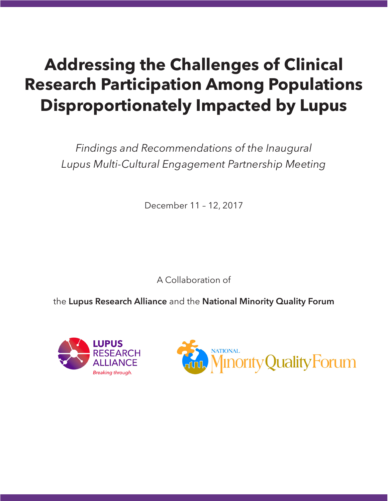# **Addressing the Challenges of Clinical Research Participation Among Populations Disproportionately Impacted by Lupus**

*Findings and Recommendations of the Inaugural Lupus Multi-Cultural Engagement Partnership Meeting*

December 11 – 12, 2017

A Collaboration of

the **Lupus Research Alliance** and the **National Minority Quality Forum**



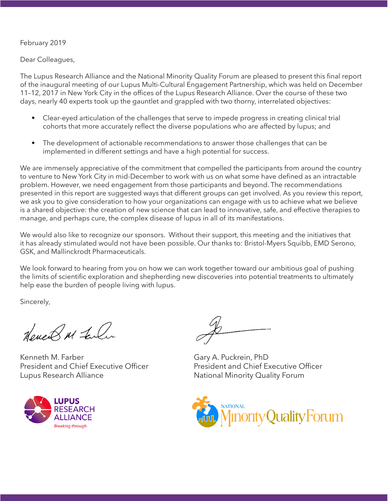#### February 2019

Dear Colleagues,

The Lupus Research Alliance and the National Minority Quality Forum are pleased to present this final report of the inaugural meeting of our Lupus Multi-Cultural Engagement Partnership, which was held on December 11–12, 2017 in New York City in the offices of the Lupus Research Alliance. Over the course of these two days, nearly 40 experts took up the gauntlet and grappled with two thorny, interrelated objectives:

- Clear-eyed articulation of the challenges that serve to impede progress in creating clinical trial cohorts that more accurately reflect the diverse populations who are affected by lupus; and
- The development of actionable recommendations to answer those challenges that can be implemented in different settings and have a high potential for success.

We are immensely appreciative of the commitment that compelled the participants from around the country to venture to New York City in mid-December to work with us on what some have defined as an intractable problem. However, we need engagement from those participants and beyond. The recommendations presented in this report are suggested ways that different groups can get involved. As you review this report, we ask you to give consideration to how your organizations can engage with us to achieve what we believe is a shared objective: the creation of new science that can lead to innovative, safe, and effective therapies to manage, and perhaps cure, the complex disease of lupus in all of its manifestations.

We would also like to recognize our sponsors. Without their support, this meeting and the initiatives that it has already stimulated would not have been possible. Our thanks to: Bristol-Myers Squibb, EMD Serono, GSK, and Mallinckrodt Pharmaceuticals.

We look forward to hearing from you on how we can work together toward our ambitious goal of pushing the limits of scientific exploration and shepherding new discoveries into potential treatments to ultimately help ease the burden of people living with lupus.

Sincerely,

House & M Falar

Kenneth M. Farber President and Chief Executive Officer Lupus Research Alliance



Gary A. Puckrein, PhD President and Chief Executive Officer National Minority Quality Forum

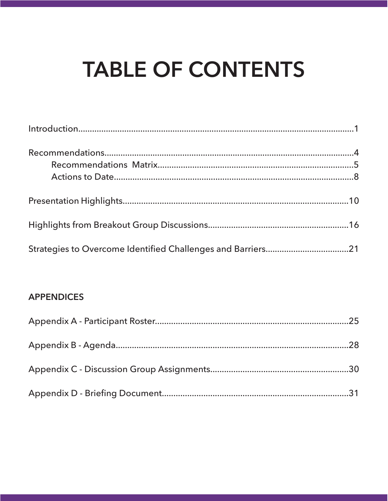# **TABLE OF CONTENTS**

### **APPENDICES**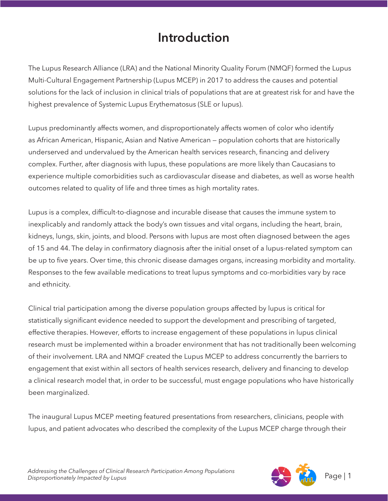# **Introduction**

The Lupus Research Alliance (LRA) and the National Minority Quality Forum (NMQF) formed the Lupus Multi-Cultural Engagement Partnership (Lupus MCEP) in 2017 to address the causes and potential solutions for the lack of inclusion in clinical trials of populations that are at greatest risk for and have the highest prevalence of Systemic Lupus Erythematosus (SLE or lupus).

Lupus predominantly affects women, and disproportionately affects women of color who identify as African American, Hispanic, Asian and Native American — population cohorts that are historically underserved and undervalued by the American health services research, financing and delivery complex. Further, after diagnosis with lupus, these populations are more likely than Caucasians to experience multiple comorbidities such as cardiovascular disease and diabetes, as well as worse health outcomes related to quality of life and three times as high mortality rates.

Lupus is a complex, difficult-to-diagnose and incurable disease that causes the immune system to inexplicably and randomly attack the body's own tissues and vital organs, including the heart, brain, kidneys, lungs, skin, joints, and blood. Persons with lupus are most often diagnosed between the ages of 15 and 44. The delay in confirmatory diagnosis after the initial onset of a lupus-related symptom can be up to five years. Over time, this chronic disease damages organs, increasing morbidity and mortality. Responses to the few available medications to treat lupus symptoms and co-morbidities vary by race and ethnicity.

Clinical trial participation among the diverse population groups affected by lupus is critical for statistically significant evidence needed to support the development and prescribing of targeted, effective therapies. However, efforts to increase engagement of these populations in lupus clinical research must be implemented within a broader environment that has not traditionally been welcoming of their involvement. LRA and NMQF created the Lupus MCEP to address concurrently the barriers to engagement that exist within all sectors of health services research, delivery and financing to develop a clinical research model that, in order to be successful, must engage populations who have historically been marginalized.

The inaugural Lupus MCEP meeting featured presentations from researchers, clinicians, people with lupus, and patient advocates who described the complexity of the Lupus MCEP charge through their

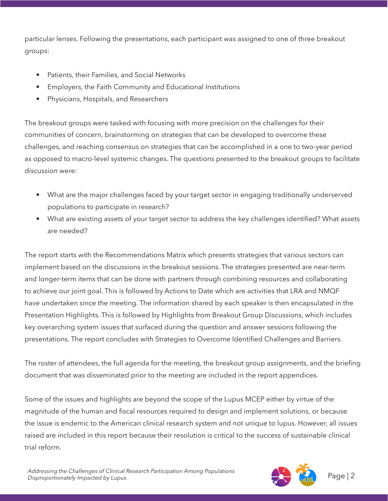particular lenses. Following the presentations, each participant was assigned to one of three breakout groups:

- Patients, their Families, and Social Networks
- Employers, the Faith Community and Educational Institutions
- Physicians, Hospitals, and Researchers

The breakout groups were tasked with focusing with more precision on the challenges for their communities of concern, brainstorming on strategies that can be developed to overcome these challenges, and reaching consensus on strategies that can be accomplished in a one to two-year period as opposed to macro-level systemic changes. The questions presented to the breakout groups to facilitate discussion were:

- What are the major challenges faced by your target sector in engaging traditionally underserved populations to participate in research?
- What are existing assets of your target sector to address the key challenges identified? What assets are needed?

The report starts with the Recommendations Matrix which presents strategies that various sectors can implement based on the discussions in the breakout sessions. The strategies presented are near-term and longer-term items that can be done with partners through combining resources and collaborating to achieve our joint goal. This is followed by Actions to Date which are activities that LRA and NMQF have undertaken since the meeting. The information shared by each speaker is then encapsulated in the Presentation Highlights. This is followed by Highlights from Breakout Group Discussions, which includes key overarching system issues that surfaced during the question and answer sessions following the presentations. The report concludes with Strategies to Overcome Identified Challenges and Barriers.

The roster of attendees, the full agenda for the meeting, the breakout group assignments, and the briefing document that was disseminated prior to the meeting are included in the report appendices.

Some of the issues and highlights are beyond the scope of the Lupus MCEP either by virtue of the magnitude of the human and fiscal resources required to design and implement solutions, or because the issue is endemic to the American clinical research system and not unique to lupus. However, all issues raised are included in this report because their resolution is critical to the success of sustainable clinical trial reform.

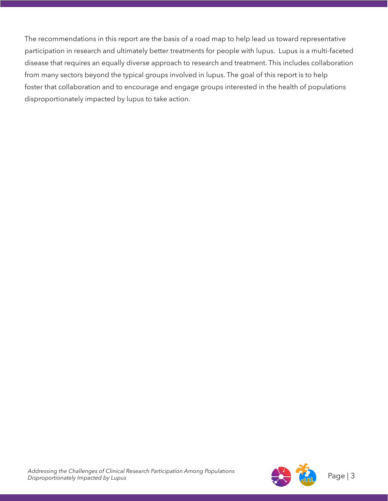The recommendations in this report are the basis of a road map to help lead us toward representative participation in research and ultimately better treatments for people with lupus. Lupus is a multi-faceted disease that requires an equally diverse approach to research and treatment. This includes collaboration from many sectors beyond the typical groups involved in lupus. The goal of this report is to help foster that collaboration and to encourage and engage groups interested in the health of populations disproportionately impacted by lupus to take action.

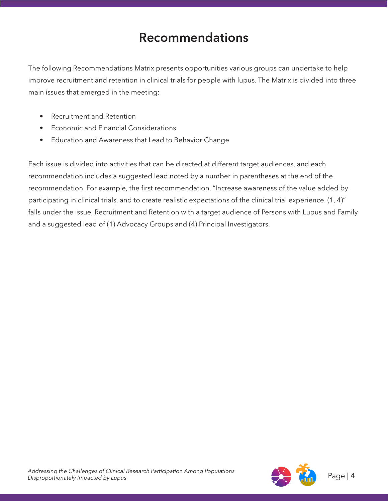### **Recommendations**

The following Recommendations Matrix presents opportunities various groups can undertake to help improve recruitment and retention in clinical trials for people with lupus. The Matrix is divided into three main issues that emerged in the meeting:

- Recruitment and Retention
- Economic and Financial Considerations
- Education and Awareness that Lead to Behavior Change

Each issue is divided into activities that can be directed at different target audiences, and each recommendation includes a suggested lead noted by a number in parentheses at the end of the recommendation. For example, the first recommendation, "Increase awareness of the value added by participating in clinical trials, and to create realistic expectations of the clinical trial experience. (1, 4)" falls under the issue, Recruitment and Retention with a target audience of Persons with Lupus and Family and a suggested lead of (1) Advocacy Groups and (4) Principal Investigators.

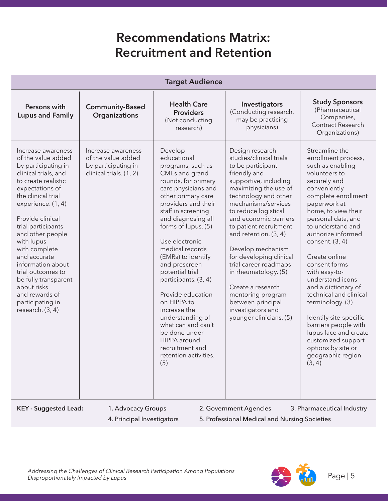# **Recommendations Matrix: Recruitment and Retention**

| <b>Target Audience</b>                                                                                                                                                                                                                                                                                                                                                                                                                  |                                                                                            |                                                                                                                                                                                                                                                                                                                                                                                                                                                                                                                                      |                                                                                                                                                                                                                                                                                                                                                                                                                                                                                                       |                                                                                                                                                                                                                                                                                                                                                                                                                                                                                                                                                                 |
|-----------------------------------------------------------------------------------------------------------------------------------------------------------------------------------------------------------------------------------------------------------------------------------------------------------------------------------------------------------------------------------------------------------------------------------------|--------------------------------------------------------------------------------------------|--------------------------------------------------------------------------------------------------------------------------------------------------------------------------------------------------------------------------------------------------------------------------------------------------------------------------------------------------------------------------------------------------------------------------------------------------------------------------------------------------------------------------------------|-------------------------------------------------------------------------------------------------------------------------------------------------------------------------------------------------------------------------------------------------------------------------------------------------------------------------------------------------------------------------------------------------------------------------------------------------------------------------------------------------------|-----------------------------------------------------------------------------------------------------------------------------------------------------------------------------------------------------------------------------------------------------------------------------------------------------------------------------------------------------------------------------------------------------------------------------------------------------------------------------------------------------------------------------------------------------------------|
| Persons with<br><b>Lupus and Family</b>                                                                                                                                                                                                                                                                                                                                                                                                 | <b>Community-Based</b><br>Organizations                                                    | <b>Health Care</b><br><b>Providers</b><br>(Not conducting<br>research)                                                                                                                                                                                                                                                                                                                                                                                                                                                               | Investigators<br>(Conducting research,<br>may be practicing<br>physicians)                                                                                                                                                                                                                                                                                                                                                                                                                            | <b>Study Sponsors</b><br>(Pharmaceutical<br>Companies,<br>Contract Research<br>Organizations)                                                                                                                                                                                                                                                                                                                                                                                                                                                                   |
| Increase awareness<br>of the value added<br>by participating in<br>clinical trials, and<br>to create realistic<br>expectations of<br>the clinical trial<br>experience. (1, 4)<br>Provide clinical<br>trial participants<br>and other people<br>with lupus<br>with complete<br>and accurate<br>information about<br>trial outcomes to<br>be fully transparent<br>about risks<br>and rewards of<br>participating in<br>research. $(3, 4)$ | Increase awareness<br>of the value added<br>by participating in<br>clinical trials. (1, 2) | Develop<br>educational<br>programs, such as<br>CMEs and grand<br>rounds, for primary<br>care physicians and<br>other primary care<br>providers and their<br>staff in screening<br>and diagnosing all<br>forms of lupus. (5)<br>Use electronic<br>medical records<br>(EMRs) to identify<br>and prescreen<br>potential trial<br>participants. (3, 4)<br>Provide education<br>on HIPPA to<br>increase the<br>understanding of<br>what can and can't<br>be done under<br>HIPPA around<br>recruitment and<br>retention activities.<br>(5) | Design research<br>studies/clinical trials<br>to be participant-<br>friendly and<br>supportive, including<br>maximizing the use of<br>technology and other<br>mechanisms/services<br>to reduce logistical<br>and economic barriers<br>to patient recruitment<br>and retention. (3, 4)<br>Develop mechanism<br>for developing clinical<br>trial career roadmaps<br>in rheumatology. (5)<br>Create a research<br>mentoring program<br>between principal<br>investigators and<br>younger clinicians. (5) | Streamline the<br>enrollment process,<br>such as enabling<br>volunteers to<br>securely and<br>conveniently<br>complete enrollment<br>paperwork at<br>home, to view their<br>personal data, and<br>to understand and<br>authorize informed<br>consent. (3, 4)<br>Create online<br>consent forms<br>with easy-to-<br>understand icons<br>and a dictionary of<br>technical and clinical<br>terminology. (3)<br>Identify site-specific<br>barriers people with<br>lupus face and create<br>customized support<br>options by site or<br>geographic region.<br>(3, 4) |
| <b>KEY - Suggested Lead:</b>                                                                                                                                                                                                                                                                                                                                                                                                            | 1. Advocacy Groups                                                                         |                                                                                                                                                                                                                                                                                                                                                                                                                                                                                                                                      | 2. Government Agencies                                                                                                                                                                                                                                                                                                                                                                                                                                                                                | 3. Pharmaceutical Industry                                                                                                                                                                                                                                                                                                                                                                                                                                                                                                                                      |

4. Principal Investigators 5. Professional Medical and Nursing Societies

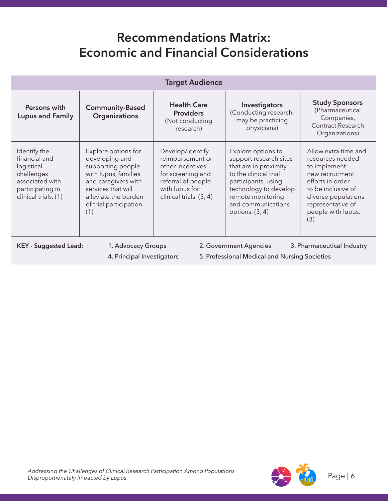### **Recommendations Matrix: Economic and Financial Considerations**

| <b>Target Audience</b>                                                                                                                                                                    |                                                                                                                                                                                           |                                                                                                                                                  |                                                                                                                                                                                                                |                                                                                                                                                                                                |
|-------------------------------------------------------------------------------------------------------------------------------------------------------------------------------------------|-------------------------------------------------------------------------------------------------------------------------------------------------------------------------------------------|--------------------------------------------------------------------------------------------------------------------------------------------------|----------------------------------------------------------------------------------------------------------------------------------------------------------------------------------------------------------------|------------------------------------------------------------------------------------------------------------------------------------------------------------------------------------------------|
| Persons with<br><b>Lupus and Family</b>                                                                                                                                                   | <b>Community-Based</b><br>Organizations                                                                                                                                                   | <b>Health Care</b><br><b>Providers</b><br>(Not conducting<br>research)                                                                           | Investigators<br>(Conducting research,<br>may be practicing<br>physicians)                                                                                                                                     | <b>Study Sponsors</b><br>(Pharmaceutical<br>Companies,<br>Contract Research<br>Organizations)                                                                                                  |
| Identify the<br>financial and<br>logistical<br>challenges<br>associated with<br>participating in<br>clinical trials. (1)                                                                  | Explore options for<br>developing and<br>supporting people<br>with lupus, families<br>and caregivers with<br>services that will<br>alleviate the burden<br>of trial participation.<br>(1) | Develop/identify<br>reimbursement or<br>other incentives<br>for screening and<br>referral of people<br>with lupus for<br>clinical trials. (3, 4) | Explore options to<br>support research sites<br>that are in proximity<br>to the clinical trial<br>participants, using<br>technology to develop<br>remote monitoring<br>and communications<br>options. $(3, 4)$ | Allow extra time and<br>resources needed<br>to implement<br>new recruitment<br>efforts in order<br>to be inclusive of<br>diverse populations<br>representative of<br>people with lupus.<br>(3) |
| 3. Pharmaceutical Industry<br><b>KEY - Suggested Lead:</b><br>1. Advocacy Groups<br>2. Government Agencies<br>5. Professional Medical and Nursing Societies<br>4. Principal Investigators |                                                                                                                                                                                           |                                                                                                                                                  |                                                                                                                                                                                                                |                                                                                                                                                                                                |

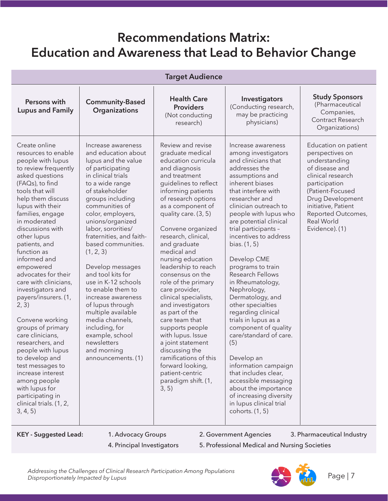## **Recommendations Matrix: Education and Awareness that Lead to Behavior Change**

| <b>Target Audience</b>                                                                                                                                                                                                                                                                                                                                                                                                                                                                                                                                                                                                                                                                     |                                                                                                                                                                                                                                                                                                                                                                                                                                                                                                                                                                                      |                                                                                                                                                                                                                                                                                                                                                                                                                                                                                                                                                                                                                                                                        |                                                                                                                                                                                                                                                                                                                                                                                                                                                                                                                                                                                                                                                                                                                                                 |                                                                                                                                                                                                                                       |
|--------------------------------------------------------------------------------------------------------------------------------------------------------------------------------------------------------------------------------------------------------------------------------------------------------------------------------------------------------------------------------------------------------------------------------------------------------------------------------------------------------------------------------------------------------------------------------------------------------------------------------------------------------------------------------------------|--------------------------------------------------------------------------------------------------------------------------------------------------------------------------------------------------------------------------------------------------------------------------------------------------------------------------------------------------------------------------------------------------------------------------------------------------------------------------------------------------------------------------------------------------------------------------------------|------------------------------------------------------------------------------------------------------------------------------------------------------------------------------------------------------------------------------------------------------------------------------------------------------------------------------------------------------------------------------------------------------------------------------------------------------------------------------------------------------------------------------------------------------------------------------------------------------------------------------------------------------------------------|-------------------------------------------------------------------------------------------------------------------------------------------------------------------------------------------------------------------------------------------------------------------------------------------------------------------------------------------------------------------------------------------------------------------------------------------------------------------------------------------------------------------------------------------------------------------------------------------------------------------------------------------------------------------------------------------------------------------------------------------------|---------------------------------------------------------------------------------------------------------------------------------------------------------------------------------------------------------------------------------------|
| Persons with<br><b>Lupus and Family</b>                                                                                                                                                                                                                                                                                                                                                                                                                                                                                                                                                                                                                                                    | <b>Community-Based</b><br>Organizations                                                                                                                                                                                                                                                                                                                                                                                                                                                                                                                                              | <b>Health Care</b><br><b>Providers</b><br>(Not conducting<br>research)                                                                                                                                                                                                                                                                                                                                                                                                                                                                                                                                                                                                 | Investigators<br>(Conducting research,<br>may be practicing<br>physicians)                                                                                                                                                                                                                                                                                                                                                                                                                                                                                                                                                                                                                                                                      | <b>Study Sponsors</b><br>(Pharmaceutical<br>Companies,<br>Contract Research<br>Organizations)                                                                                                                                         |
| Create online<br>resources to enable<br>people with lupus<br>to review frequently<br>asked questions<br>(FAQs), to find<br>tools that will<br>help them discuss<br>lupus with their<br>families, engage<br>in moderated<br>discussions with<br>other lupus<br>patients, and<br>function as<br>informed and<br>empowered<br>advocates for their<br>care with clinicians,<br>investigators and<br>payers/insurers. (1,<br>2, 3)<br>Convene working<br>groups of primary<br>care clinicians,<br>researchers, and<br>people with lupus<br>to develop and<br>test messages to<br>increase interest<br>among people<br>with lupus for<br>participating in<br>clinical trials. (1, 2,<br>3, 4, 5) | Increase awareness<br>and education about<br>lupus and the value<br>of participating<br>in clinical trials<br>to a wide range<br>of stakeholder<br>groups including<br>communities of<br>color, employers,<br>unions/organized<br>labor, sororities/<br>fraternities, and faith-<br>based communities.<br>(1, 2, 3)<br>Develop messages<br>and tool kits for<br>use in K-12 schools<br>to enable them to<br>increase awareness<br>of lupus through<br>multiple available<br>media channels,<br>including, for<br>example, school<br>newsletters<br>and morning<br>announcements. (1) | Review and revise<br>graduate medical<br>education curricula<br>and diagnosis<br>and treatment<br>guidelines to reflect<br>informing patients<br>of research options<br>as a component of<br>quality care. (3, 5)<br>Convene organized<br>research, clinical,<br>and graduate<br>medical and<br>nursing education<br>leadership to reach<br>consensus on the<br>role of the primary<br>care provider,<br>clinical specialists,<br>and investigators<br>as part of the<br>care team that<br>supports people<br>with lupus. Issue<br>a joint statement<br>discussing the<br>ramifications of this<br>forward looking,<br>patient-centric<br>paradigm shift. (1,<br>3, 5) | Increase awareness<br>among investigators<br>and clinicians that<br>addresses the<br>assumptions and<br>inherent biases<br>that interfere with<br>researcher and<br>clinician outreach to<br>people with lupus who<br>are potential clinical<br>trial participants -<br>incentives to address<br>bias. (1, 5)<br>Develop CME<br>programs to train<br>Research Fellows<br>in Rheumatology,<br>Nephrology,<br>Dermatology, and<br>other specialties<br>regarding clinical<br>trials in lupus as a<br>component of quality<br>care/standard of care.<br>(5)<br>Develop an<br>information campaign<br>that includes clear,<br>accessible messaging<br>about the importance<br>of increasing diversity<br>in lupus clinical trial<br>cohorts. (1, 5) | Education on patient<br>perspectives on<br>understanding<br>of disease and<br>clinical research<br>participation<br>(Patient-Focused<br>Drug Development<br>initiative, Patient<br>Reported Outcomes,<br>Real World<br>Evidence). (1) |

KEY - Suggested Lead: 1. Advocacy Groups 2. Government Agencies 3. Pharmaceutical Industry

- 
- 4. Principal Investigators 5. Professional Medical and Nursing Societies

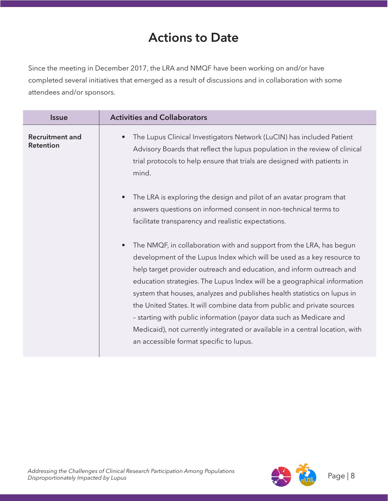## **Actions to Date**

Since the meeting in December 2017, the LRA and NMQF have been working on and/or have completed several initiatives that emerged as a result of discussions and in collaboration with some attendees and/or sponsors.

| <b>Issue</b>                               | <b>Activities and Collaborators</b>                                                                                                                                                                                                                                                                                                                                                                                                                                                                                                                                                                                                                                     |
|--------------------------------------------|-------------------------------------------------------------------------------------------------------------------------------------------------------------------------------------------------------------------------------------------------------------------------------------------------------------------------------------------------------------------------------------------------------------------------------------------------------------------------------------------------------------------------------------------------------------------------------------------------------------------------------------------------------------------------|
| <b>Recruitment and</b><br><b>Retention</b> | The Lupus Clinical Investigators Network (LuCIN) has included Patient<br>Advisory Boards that reflect the lupus population in the review of clinical<br>trial protocols to help ensure that trials are designed with patients in<br>mind.                                                                                                                                                                                                                                                                                                                                                                                                                               |
|                                            | The LRA is exploring the design and pilot of an avatar program that<br>$\bullet$<br>answers questions on informed consent in non-technical terms to<br>facilitate transparency and realistic expectations.                                                                                                                                                                                                                                                                                                                                                                                                                                                              |
|                                            | The NMQF, in collaboration with and support from the LRA, has begun<br>$\bullet$<br>development of the Lupus Index which will be used as a key resource to<br>help target provider outreach and education, and inform outreach and<br>education strategies. The Lupus Index will be a geographical information<br>system that houses, analyzes and publishes health statistics on lupus in<br>the United States. It will combine data from public and private sources<br>- starting with public information (payor data such as Medicare and<br>Medicaid), not currently integrated or available in a central location, with<br>an accessible format specific to lupus. |

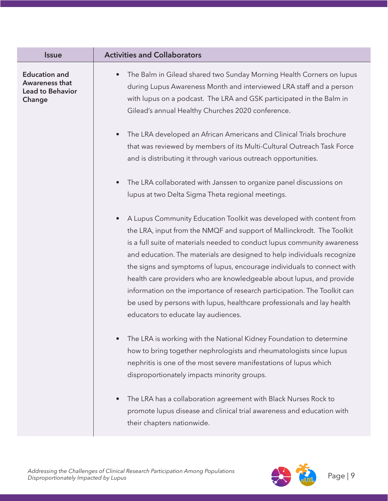| <b>Issue</b>                                                                | <b>Activities and Collaborators</b>                                                                                                                                                                                                                                                                                                                                                                                                                                                                                                                                                                                                                             |
|-----------------------------------------------------------------------------|-----------------------------------------------------------------------------------------------------------------------------------------------------------------------------------------------------------------------------------------------------------------------------------------------------------------------------------------------------------------------------------------------------------------------------------------------------------------------------------------------------------------------------------------------------------------------------------------------------------------------------------------------------------------|
| <b>Education and</b><br>Awareness that<br><b>Lead to Behavior</b><br>Change | The Balm in Gilead shared two Sunday Morning Health Corners on lupus<br>during Lupus Awareness Month and interviewed LRA staff and a person<br>with lupus on a podcast. The LRA and GSK participated in the Balm in<br>Gilead's annual Healthy Churches 2020 conference.                                                                                                                                                                                                                                                                                                                                                                                        |
|                                                                             | The LRA developed an African Americans and Clinical Trials brochure<br>$\bullet$<br>that was reviewed by members of its Multi-Cultural Outreach Task Force<br>and is distributing it through various outreach opportunities.                                                                                                                                                                                                                                                                                                                                                                                                                                    |
|                                                                             | The LRA collaborated with Janssen to organize panel discussions on<br>$\bullet$<br>lupus at two Delta Sigma Theta regional meetings.                                                                                                                                                                                                                                                                                                                                                                                                                                                                                                                            |
|                                                                             | A Lupus Community Education Toolkit was developed with content from<br>$\bullet$<br>the LRA, input from the NMQF and support of Mallinckrodt. The Toolkit<br>is a full suite of materials needed to conduct lupus community awareness<br>and education. The materials are designed to help individuals recognize<br>the signs and symptoms of lupus, encourage individuals to connect with<br>health care providers who are knowledgeable about lupus, and provide<br>information on the importance of research participation. The Toolkit can<br>be used by persons with lupus, healthcare professionals and lay health<br>educators to educate lay audiences. |
|                                                                             | The LRA is working with the National Kidney Foundation to determine<br>$\bullet$<br>how to bring together nephrologists and rheumatologists since lupus<br>nephritis is one of the most severe manifestations of lupus which<br>disproportionately impacts minority groups.                                                                                                                                                                                                                                                                                                                                                                                     |
|                                                                             | The LRA has a collaboration agreement with Black Nurses Rock to<br>$\bullet$<br>promote lupus disease and clinical trial awareness and education with<br>their chapters nationwide.                                                                                                                                                                                                                                                                                                                                                                                                                                                                             |

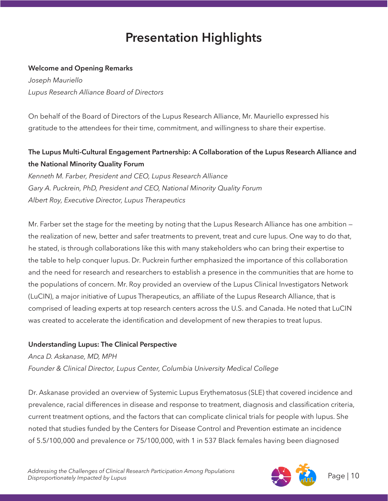# **Presentation Highlights**

### **Welcome and Opening Remarks**

*Joseph Mauriello Lupus Research Alliance Board of Directors*

On behalf of the Board of Directors of the Lupus Research Alliance, Mr. Mauriello expressed his gratitude to the attendees for their time, commitment, and willingness to share their expertise.

### **The Lupus Multi-Cultural Engagement Partnership: A Collaboration of the Lupus Research Alliance and the National Minority Quality Forum**

*Kenneth M. Farber, President and CEO, Lupus Research Alliance Gary A. Puckrein, PhD, President and CEO, National Minority Quality Forum Albert Roy, Executive Director, Lupus Therapeutics*

Mr. Farber set the stage for the meeting by noting that the Lupus Research Alliance has one ambition the realization of new, better and safer treatments to prevent, treat and cure lupus. One way to do that, he stated, is through collaborations like this with many stakeholders who can bring their expertise to the table to help conquer lupus. Dr. Puckrein further emphasized the importance of this collaboration and the need for research and researchers to establish a presence in the communities that are home to the populations of concern. Mr. Roy provided an overview of the Lupus Clinical Investigators Network (LuCIN), a major initiative of Lupus Therapeutics, an affiliate of the Lupus Research Alliance, that is comprised of leading experts at top research centers across the U.S. and Canada. He noted that LuCIN was created to accelerate the identification and development of new therapies to treat lupus.

### **Understanding Lupus: The Clinical Perspective**

*Anca D. Askanase, MD, MPH Founder & Clinical Director, Lupus Center, Columbia University Medical College*

Dr. Askanase provided an overview of Systemic Lupus Erythematosus (SLE) that covered incidence and prevalence, racial differences in disease and response to treatment, diagnosis and classification criteria, current treatment options, and the factors that can complicate clinical trials for people with lupus. She noted that studies funded by the Centers for Disease Control and Prevention estimate an incidence of 5.5/100,000 and prevalence or 75/100,000, with 1 in 537 Black females having been diagnosed

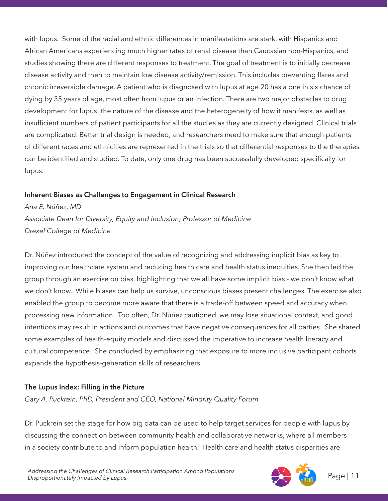with lupus. Some of the racial and ethnic differences in manifestations are stark, with Hispanics and African Americans experiencing much higher rates of renal disease than Caucasian non-Hispanics, and studies showing there are different responses to treatment. The goal of treatment is to initially decrease disease activity and then to maintain low disease activity/remission. This includes preventing flares and chronic irreversible damage. A patient who is diagnosed with lupus at age 20 has a one in six chance of dying by 35 years of age, most often from lupus or an infection. There are two major obstacles to drug development for lupus: the nature of the disease and the heterogeneity of how it manifests, as well as insufficient numbers of patient participants for all the studies as they are currently designed. Clinical trials are complicated. Better trial design is needed, and researchers need to make sure that enough patients of different races and ethnicities are represented in the trials so that differential responses to the therapies can be identified and studied. To date, only one drug has been successfully developed specifically for lupus.

### **Inherent Biases as Challenges to Engagement in Clinical Research**

*Ana E. Núñez, MD Associate Dean for Diversity, Equity and Inclusion; Professor of Medicine Drexel College of Medicine*

Dr. Núñez introduced the concept of the value of recognizing and addressing implicit bias as key to improving our healthcare system and reducing health care and health status inequities. She then led the group through an exercise on bias, highlighting that we all have some implicit bias - we don't know what we don't know. While biases can help us survive, unconscious biases present challenges. The exercise also enabled the group to become more aware that there is a trade-off between speed and accuracy when processing new information. Too often, Dr. Núñez cautioned, we may lose situational context, and good intentions may result in actions and outcomes that have negative consequences for all parties. She shared some examples of health-equity models and discussed the imperative to increase health literacy and cultural competence. She concluded by emphasizing that exposure to more inclusive participant cohorts expands the hypothesis-generation skills of researchers.

### **The Lupus Index: Filling in the Picture**

*Gary A. Puckrein, PhD, President and CEO, National Minority Quality Forum*

Dr. Puckrein set the stage for how big data can be used to help target services for people with lupus by discussing the connection between community health and collaborative networks, where all members in a society contribute to and inform population health. Health care and health status disparities are

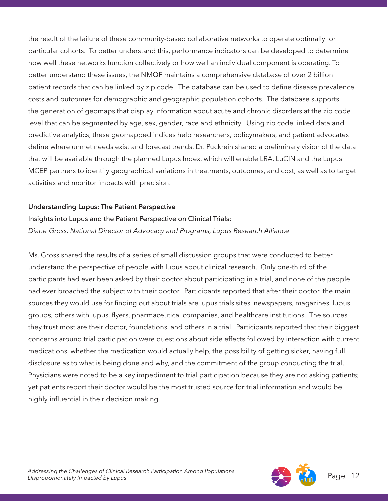the result of the failure of these community-based collaborative networks to operate optimally for particular cohorts. To better understand this, performance indicators can be developed to determine how well these networks function collectively or how well an individual component is operating. To better understand these issues, the NMQF maintains a comprehensive database of over 2 billion patient records that can be linked by zip code. The database can be used to define disease prevalence, costs and outcomes for demographic and geographic population cohorts. The database supports the generation of geomaps that display information about acute and chronic disorders at the zip code level that can be segmented by age, sex, gender, race and ethnicity. Using zip code linked data and predictive analytics, these geomapped indices help researchers, policymakers, and patient advocates define where unmet needs exist and forecast trends. Dr. Puckrein shared a preliminary vision of the data that will be available through the planned Lupus Index, which will enable LRA, LuCIN and the Lupus MCEP partners to identify geographical variations in treatments, outcomes, and cost, as well as to target activities and monitor impacts with precision.

#### **Understanding Lupus: The Patient Perspective**

### Insights into Lupus and the Patient Perspective on Clinical Trials: *Diane Gross, National Director of Advocacy and Programs, Lupus Research Alliance*

Ms. Gross shared the results of a series of small discussion groups that were conducted to better understand the perspective of people with lupus about clinical research. Only one-third of the participants had ever been asked by their doctor about participating in a trial, and none of the people had ever broached the subject with their doctor. Participants reported that after their doctor, the main sources they would use for finding out about trials are lupus trials sites, newspapers, magazines, lupus groups, others with lupus, flyers, pharmaceutical companies, and healthcare institutions. The sources they trust most are their doctor, foundations, and others in a trial. Participants reported that their biggest concerns around trial participation were questions about side effects followed by interaction with current medications, whether the medication would actually help, the possibility of getting sicker, having full disclosure as to what is being done and why, and the commitment of the group conducting the trial. Physicians were noted to be a key impediment to trial participation because they are not asking patients; yet patients report their doctor would be the most trusted source for trial information and would be highly influential in their decision making.

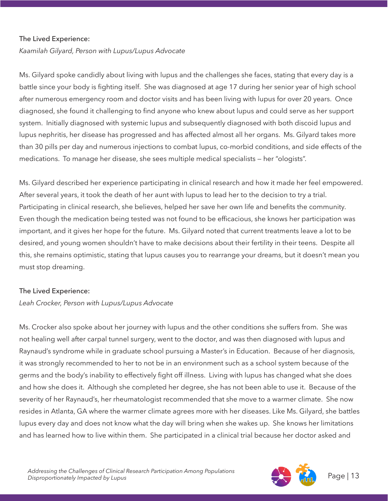#### The Lived Experience:

*Kaamilah Gilyard, Person with Lupus/Lupus Advocate*

Ms. Gilyard spoke candidly about living with lupus and the challenges she faces, stating that every day is a battle since your body is fighting itself. She was diagnosed at age 17 during her senior year of high school after numerous emergency room and doctor visits and has been living with lupus for over 20 years. Once diagnosed, she found it challenging to find anyone who knew about lupus and could serve as her support system. Initially diagnosed with systemic lupus and subsequently diagnosed with both discoid lupus and lupus nephritis, her disease has progressed and has affected almost all her organs. Ms. Gilyard takes more than 30 pills per day and numerous injections to combat lupus, co-morbid conditions, and side effects of the medications. To manage her disease, she sees multiple medical specialists — her "ologists".

Ms. Gilyard described her experience participating in clinical research and how it made her feel empowered. After several years, it took the death of her aunt with lupus to lead her to the decision to try a trial. Participating in clinical research, she believes, helped her save her own life and benefits the community. Even though the medication being tested was not found to be efficacious, she knows her participation was important, and it gives her hope for the future. Ms. Gilyard noted that current treatments leave a lot to be desired, and young women shouldn't have to make decisions about their fertility in their teens. Despite all this, she remains optimistic, stating that lupus causes you to rearrange your dreams, but it doesn't mean you must stop dreaming.

#### The Lived Experience:

#### *Leah Crocker, Person with Lupus/Lupus Advocate*

Ms. Crocker also spoke about her journey with lupus and the other conditions she suffers from. She was not healing well after carpal tunnel surgery, went to the doctor, and was then diagnosed with lupus and Raynaud's syndrome while in graduate school pursuing a Master's in Education. Because of her diagnosis, it was strongly recommended to her to not be in an environment such as a school system because of the germs and the body's inability to effectively fight off illness. Living with lupus has changed what she does and how she does it. Although she completed her degree, she has not been able to use it. Because of the severity of her Raynaud's, her rheumatologist recommended that she move to a warmer climate. She now resides in Atlanta, GA where the warmer climate agrees more with her diseases. Like Ms. Gilyard, she battles lupus every day and does not know what the day will bring when she wakes up. She knows her limitations and has learned how to live within them. She participated in a clinical trial because her doctor asked and

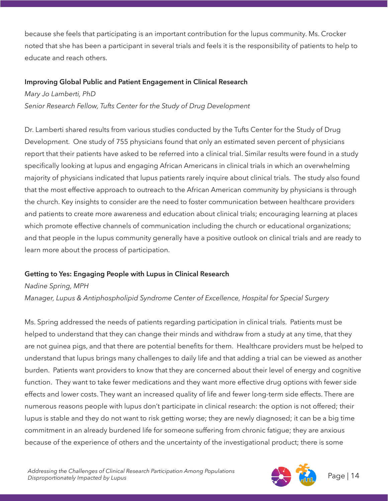because she feels that participating is an important contribution for the lupus community. Ms. Crocker noted that she has been a participant in several trials and feels it is the responsibility of patients to help to educate and reach others.

#### **Improving Global Public and Patient Engagement in Clinical Research**

*Mary Jo Lamberti, PhD* 

*Senior Research Fellow, Tufts Center for the Study of Drug Development*

Dr. Lamberti shared results from various studies conducted by the Tufts Center for the Study of Drug Development. One study of 755 physicians found that only an estimated seven percent of physicians report that their patients have asked to be referred into a clinical trial. Similar results were found in a study specifically looking at lupus and engaging African Americans in clinical trials in which an overwhelming majority of physicians indicated that lupus patients rarely inquire about clinical trials. The study also found that the most effective approach to outreach to the African American community by physicians is through the church. Key insights to consider are the need to foster communication between healthcare providers and patients to create more awareness and education about clinical trials; encouraging learning at places which promote effective channels of communication including the church or educational organizations; and that people in the lupus community generally have a positive outlook on clinical trials and are ready to learn more about the process of participation.

### **Getting to Yes: Engaging People with Lupus in Clinical Research**

*Nadine Spring, MPH*

*Manager, Lupus & Antiphospholipid Syndrome Center of Excellence, Hospital for Special Surgery* 

Ms. Spring addressed the needs of patients regarding participation in clinical trials. Patients must be helped to understand that they can change their minds and withdraw from a study at any time, that they are not guinea pigs, and that there are potential benefits for them. Healthcare providers must be helped to understand that lupus brings many challenges to daily life and that adding a trial can be viewed as another burden. Patients want providers to know that they are concerned about their level of energy and cognitive function. They want to take fewer medications and they want more effective drug options with fewer side effects and lower costs. They want an increased quality of life and fewer long-term side effects. There are numerous reasons people with lupus don't participate in clinical research: the option is not offered; their lupus is stable and they do not want to risk getting worse; they are newly diagnosed; it can be a big time commitment in an already burdened life for someone suffering from chronic fatigue; they are anxious because of the experience of others and the uncertainty of the investigational product; there is some

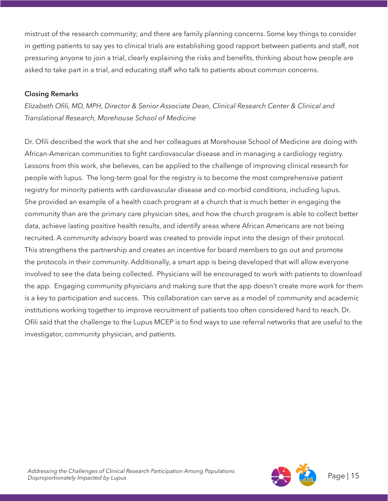mistrust of the research community; and there are family planning concerns. Some key things to consider in getting patients to say yes to clinical trials are establishing good rapport between patients and staff, not pressuring anyone to join a trial, clearly explaining the risks and benefits, thinking about how people are asked to take part in a trial, and educating staff who talk to patients about common concerns.

### **Closing Remarks**

*Elizabeth Ofili, MD, MPH, Director & Senior Associate Dean, Clinical Research Center & Clinical and Translational Research, Morehouse School of Medicine*

Dr. Ofili described the work that she and her colleagues at Morehouse School of Medicine are doing with African-American communities to fight cardiovascular disease and in managing a cardiology registry. Lessons from this work, she believes, can be applied to the challenge of improving clinical research for people with lupus. The long-term goal for the registry is to become the most comprehensive patient registry for minority patients with cardiovascular disease and co-morbid conditions, including lupus. She provided an example of a health coach program at a church that is much better in engaging the community than are the primary care physician sites, and how the church program is able to collect better data, achieve lasting positive health results, and identify areas where African Americans are not being recruited. A community advisory board was created to provide input into the design of their protocol. This strengthens the partnership and creates an incentive for board members to go out and promote the protocols in their community. Additionally, a smart app is being developed that will allow everyone involved to see the data being collected. Physicians will be encouraged to work with patients to download the app. Engaging community physicians and making sure that the app doesn't create more work for them is a key to participation and success. This collaboration can serve as a model of community and academic institutions working together to improve recruitment of patients too often considered hard to reach. Dr. Ofili said that the challenge to the Lupus MCEP is to find ways to use referral networks that are useful to the investigator, community physician, and patients.

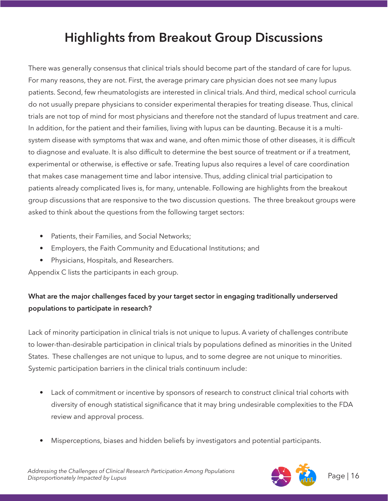# **Highlights from Breakout Group Discussions**

There was generally consensus that clinical trials should become part of the standard of care for lupus. For many reasons, they are not. First, the average primary care physician does not see many lupus patients. Second, few rheumatologists are interested in clinical trials. And third, medical school curricula do not usually prepare physicians to consider experimental therapies for treating disease. Thus, clinical trials are not top of mind for most physicians and therefore not the standard of lupus treatment and care. In addition, for the patient and their families, living with lupus can be daunting. Because it is a multisystem disease with symptoms that wax and wane, and often mimic those of other diseases, it is difficult to diagnose and evaluate. It is also difficult to determine the best source of treatment or if a treatment, experimental or otherwise, is effective or safe. Treating lupus also requires a level of care coordination that makes case management time and labor intensive. Thus, adding clinical trial participation to patients already complicated lives is, for many, untenable. Following are highlights from the breakout group discussions that are responsive to the two discussion questions. The three breakout groups were asked to think about the questions from the following target sectors:

- Patients, their Families, and Social Networks;
- Employers, the Faith Community and Educational Institutions; and
- Physicians, Hospitals, and Researchers.

Appendix C lists the participants in each group.

### **What are the major challenges faced by your target sector in engaging traditionally underserved populations to participate in research?**

Lack of minority participation in clinical trials is not unique to lupus. A variety of challenges contribute to lower-than-desirable participation in clinical trials by populations defined as minorities in the United States. These challenges are not unique to lupus, and to some degree are not unique to minorities. Systemic participation barriers in the clinical trials continuum include:

- Lack of commitment or incentive by sponsors of research to construct clinical trial cohorts with diversity of enough statistical significance that it may bring undesirable complexities to the FDA review and approval process.
- Misperceptions, biases and hidden beliefs by investigators and potential participants.

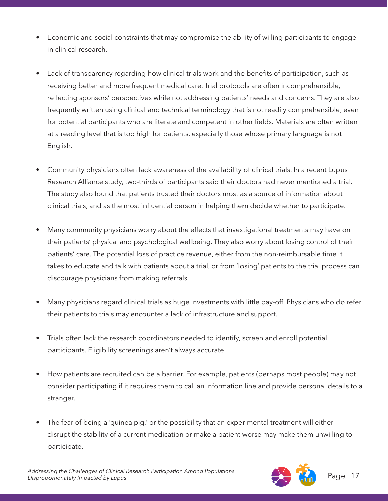- Economic and social constraints that may compromise the ability of willing participants to engage in clinical research.
- Lack of transparency regarding how clinical trials work and the benefits of participation, such as receiving better and more frequent medical care. Trial protocols are often incomprehensible, reflecting sponsors' perspectives while not addressing patients' needs and concerns. They are also frequently written using clinical and technical terminology that is not readily comprehensible, even for potential participants who are literate and competent in other fields. Materials are often written at a reading level that is too high for patients, especially those whose primary language is not English.
- Community physicians often lack awareness of the availability of clinical trials. In a recent Lupus Research Alliance study, two-thirds of participants said their doctors had never mentioned a trial. The study also found that patients trusted their doctors most as a source of information about clinical trials, and as the most influential person in helping them decide whether to participate.
- Many community physicians worry about the effects that investigational treatments may have on their patients' physical and psychological wellbeing. They also worry about losing control of their patients' care. The potential loss of practice revenue, either from the non-reimbursable time it takes to educate and talk with patients about a trial, or from 'losing' patients to the trial process can discourage physicians from making referrals.
- Many physicians regard clinical trials as huge investments with little pay-off. Physicians who do refer their patients to trials may encounter a lack of infrastructure and support.
- Trials often lack the research coordinators needed to identify, screen and enroll potential participants. Eligibility screenings aren't always accurate.
- How patients are recruited can be a barrier. For example, patients (perhaps most people) may not consider participating if it requires them to call an information line and provide personal details to a stranger.
- The fear of being a 'guinea pig,' or the possibility that an experimental treatment will either disrupt the stability of a current medication or make a patient worse may make them unwilling to participate.

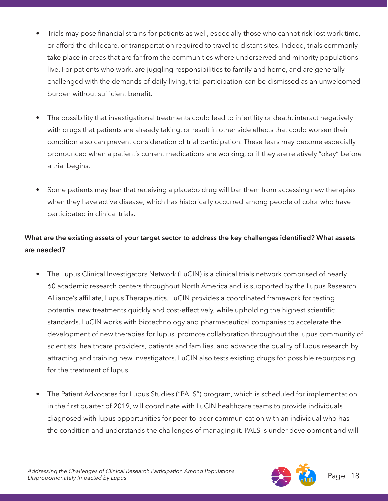- Trials may pose financial strains for patients as well, especially those who cannot risk lost work time, or afford the childcare, or transportation required to travel to distant sites. Indeed, trials commonly take place in areas that are far from the communities where underserved and minority populations live. For patients who work, are juggling responsibilities to family and home, and are generally challenged with the demands of daily living, trial participation can be dismissed as an unwelcomed burden without sufficient benefit.
- The possibility that investigational treatments could lead to infertility or death, interact negatively with drugs that patients are already taking, or result in other side effects that could worsen their condition also can prevent consideration of trial participation. These fears may become especially pronounced when a patient's current medications are working, or if they are relatively "okay" before a trial begins.
- Some patients may fear that receiving a placebo drug will bar them from accessing new therapies when they have active disease, which has historically occurred among people of color who have participated in clinical trials.

### **What are the existing assets of your target sector to address the key challenges identified? What assets are needed?**

- The Lupus Clinical Investigators Network (LuCIN) is a clinical trials network comprised of nearly 60 academic research centers throughout North America and is supported by the Lupus Research Alliance's affiliate, Lupus Therapeutics. LuCIN provides a coordinated framework for testing potential new treatments quickly and cost-effectively, while upholding the highest scientific standards. LuCIN works with biotechnology and pharmaceutical companies to accelerate the development of new therapies for lupus, promote collaboration throughout the lupus community of scientists, healthcare providers, patients and families, and advance the quality of lupus research by attracting and training new investigators. LuCIN also tests existing drugs for possible repurposing for the treatment of lupus.
- The Patient Advocates for Lupus Studies ("PALS") program, which is scheduled for implementation in the first quarter of 2019, will coordinate with LuCIN healthcare teams to provide individuals diagnosed with lupus opportunities for peer-to-peer communication with an individual who has the condition and understands the challenges of managing it. PALS is under development and will

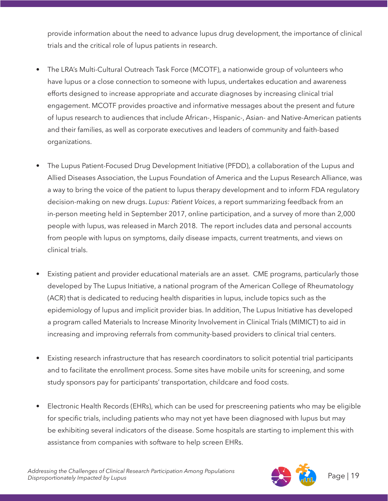provide information about the need to advance lupus drug development, the importance of clinical trials and the critical role of lupus patients in research.

- The LRA's Multi-Cultural Outreach Task Force (MCOTF), a nationwide group of volunteers who have lupus or a close connection to someone with lupus, undertakes education and awareness efforts designed to increase appropriate and accurate diagnoses by increasing clinical trial engagement. MCOTF provides proactive and informative messages about the present and future of lupus research to audiences that include African-, Hispanic-, Asian- and Native-American patients and their families, as well as corporate executives and leaders of community and faith-based organizations.
- The Lupus Patient-Focused Drug Development Initiative (PFDD), a collaboration of the Lupus and Allied Diseases Association, the Lupus Foundation of America and the Lupus Research Alliance, was a way to bring the voice of the patient to lupus therapy development and to inform FDA regulatory decision-making on new drugs. *Lupus: Patient Voices*, a report summarizing feedback from an in-person meeting held in September 2017, online participation, and a survey of more than 2,000 people with lupus, was released in March 2018. The report includes data and personal accounts from people with lupus on symptoms, daily disease impacts, current treatments, and views on clinical trials.
- Existing patient and provider educational materials are an asset. CME programs, particularly those developed by The Lupus Initiative, a national program of the American College of Rheumatology (ACR) that is dedicated to reducing health disparities in lupus, include topics such as the epidemiology of lupus and implicit provider bias. In addition, The Lupus Initiative has developed a program called Materials to Increase Minority Involvement in Clinical Trials (MIMICT) to aid in increasing and improving referrals from community-based providers to clinical trial centers.
- Existing research infrastructure that has research coordinators to solicit potential trial participants and to facilitate the enrollment process. Some sites have mobile units for screening, and some study sponsors pay for participants' transportation, childcare and food costs.
- Electronic Health Records (EHRs), which can be used for prescreening patients who may be eligible for specific trials, including patients who may not yet have been diagnosed with lupus but may be exhibiting several indicators of the disease. Some hospitals are starting to implement this with assistance from companies with software to help screen EHRs.

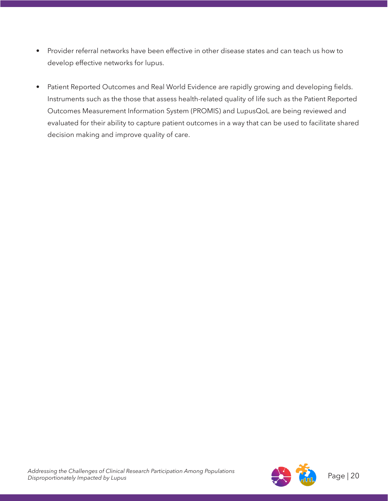- Provider referral networks have been effective in other disease states and can teach us how to develop effective networks for lupus.
- Patient Reported Outcomes and Real World Evidence are rapidly growing and developing fields. Instruments such as the those that assess health-related quality of life such as the Patient Reported Outcomes Measurement Information System (PROMIS) and LupusQoL are being reviewed and evaluated for their ability to capture patient outcomes in a way that can be used to facilitate shared decision making and improve quality of care.

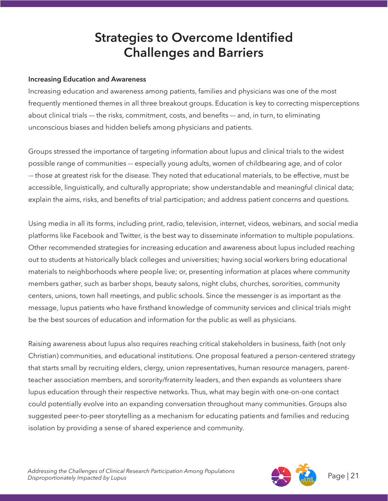# **Strategies to Overcome Identified Challenges and Barriers**

#### **Increasing Education and Awareness**

Increasing education and awareness among patients, families and physicians was one of the most frequently mentioned themes in all three breakout groups. Education is key to correcting misperceptions about clinical trials –– the risks, commitment, costs, and benefits –– and, in turn, to eliminating unconscious biases and hidden beliefs among physicians and patients.

Groups stressed the importance of targeting information about lupus and clinical trials to the widest possible range of communities –- especially young adults, women of childbearing age, and of color -– those at greatest risk for the disease. They noted that educational materials, to be effective, must be accessible, linguistically, and culturally appropriate; show understandable and meaningful clinical data; explain the aims, risks, and benefits of trial participation; and address patient concerns and questions.

Using media in all its forms, including print, radio, television, internet, videos, webinars, and social media platforms like Facebook and Twitter, is the best way to disseminate information to multiple populations. Other recommended strategies for increasing education and awareness about lupus included reaching out to students at historically black colleges and universities; having social workers bring educational materials to neighborhoods where people live; or, presenting information at places where community members gather, such as barber shops, beauty salons, night clubs, churches, sororities, community centers, unions, town hall meetings, and public schools. Since the messenger is as important as the message, lupus patients who have firsthand knowledge of community services and clinical trials might be the best sources of education and information for the public as well as physicians.

Raising awareness about lupus also requires reaching critical stakeholders in business, faith (not only Christian) communities, and educational institutions. One proposal featured a person-centered strategy that starts small by recruiting elders, clergy, union representatives, human resource managers, parentteacher association members, and sorority/fraternity leaders, and then expands as volunteers share lupus education through their respective networks. Thus, what may begin with one-on-one contact could potentially evolve into an expanding conversation throughout many communities. Groups also suggested peer-to-peer storytelling as a mechanism for educating patients and families and reducing isolation by providing a sense of shared experience and community.

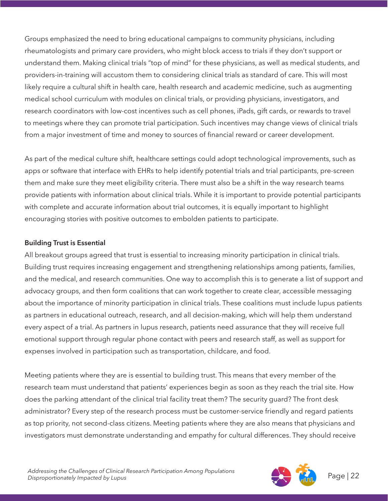Groups emphasized the need to bring educational campaigns to community physicians, including rheumatologists and primary care providers, who might block access to trials if they don't support or understand them. Making clinical trials "top of mind" for these physicians, as well as medical students, and providers-in-training will accustom them to considering clinical trials as standard of care. This will most likely require a cultural shift in health care, health research and academic medicine, such as augmenting medical school curriculum with modules on clinical trials, or providing physicians, investigators, and research coordinators with low-cost incentives such as cell phones, iPads, gift cards, or rewards to travel to meetings where they can promote trial participation. Such incentives may change views of clinical trials from a major investment of time and money to sources of financial reward or career development.

As part of the medical culture shift, healthcare settings could adopt technological improvements, such as apps or software that interface with EHRs to help identify potential trials and trial participants, pre-screen them and make sure they meet eligibility criteria. There must also be a shift in the way research teams provide patients with information about clinical trials. While it is important to provide potential participants with complete and accurate information about trial outcomes, it is equally important to highlight encouraging stories with positive outcomes to embolden patients to participate.

#### **Building Trust is Essential**

All breakout groups agreed that trust is essential to increasing minority participation in clinical trials. Building trust requires increasing engagement and strengthening relationships among patients, families, and the medical, and research communities. One way to accomplish this is to generate a list of support and advocacy groups, and then form coalitions that can work together to create clear, accessible messaging about the importance of minority participation in clinical trials. These coalitions must include lupus patients as partners in educational outreach, research, and all decision-making, which will help them understand every aspect of a trial. As partners in lupus research, patients need assurance that they will receive full emotional support through regular phone contact with peers and research staff, as well as support for expenses involved in participation such as transportation, childcare, and food.

Meeting patients where they are is essential to building trust. This means that every member of the research team must understand that patients' experiences begin as soon as they reach the trial site. How does the parking attendant of the clinical trial facility treat them? The security guard? The front desk administrator? Every step of the research process must be customer-service friendly and regard patients as top priority, not second-class citizens. Meeting patients where they are also means that physicians and investigators must demonstrate understanding and empathy for cultural differences. They should receive

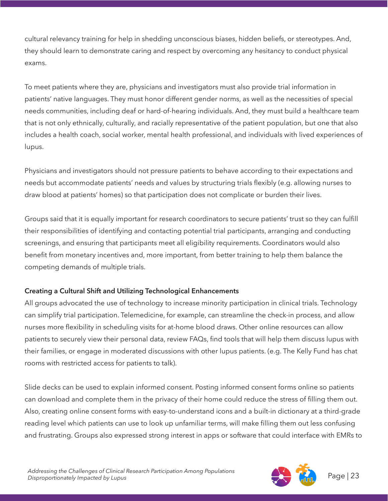cultural relevancy training for help in shedding unconscious biases, hidden beliefs, or stereotypes. And, they should learn to demonstrate caring and respect by overcoming any hesitancy to conduct physical exams.

To meet patients where they are, physicians and investigators must also provide trial information in patients' native languages. They must honor different gender norms, as well as the necessities of special needs communities, including deaf or hard-of-hearing individuals. And, they must build a healthcare team that is not only ethnically, culturally, and racially representative of the patient population, but one that also includes a health coach, social worker, mental health professional, and individuals with lived experiences of lupus.

Physicians and investigators should not pressure patients to behave according to their expectations and needs but accommodate patients' needs and values by structuring trials flexibly (e.g. allowing nurses to draw blood at patients' homes) so that participation does not complicate or burden their lives.

Groups said that it is equally important for research coordinators to secure patients' trust so they can fulfill their responsibilities of identifying and contacting potential trial participants, arranging and conducting screenings, and ensuring that participants meet all eligibility requirements. Coordinators would also benefit from monetary incentives and, more important, from better training to help them balance the competing demands of multiple trials.

### **Creating a Cultural Shift and Utilizing Technological Enhancements**

All groups advocated the use of technology to increase minority participation in clinical trials. Technology can simplify trial participation. Telemedicine, for example, can streamline the check-in process, and allow nurses more flexibility in scheduling visits for at-home blood draws. Other online resources can allow patients to securely view their personal data, review FAQs, find tools that will help them discuss lupus with their families, or engage in moderated discussions with other lupus patients. (e.g. The Kelly Fund has chat rooms with restricted access for patients to talk).

Slide decks can be used to explain informed consent. Posting informed consent forms online so patients can download and complete them in the privacy of their home could reduce the stress of filling them out. Also, creating online consent forms with easy-to-understand icons and a built-in dictionary at a third-grade reading level which patients can use to look up unfamiliar terms, will make filling them out less confusing and frustrating. Groups also expressed strong interest in apps or software that could interface with EMRs to

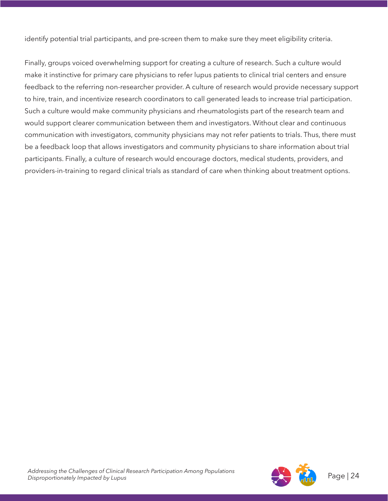identify potential trial participants, and pre-screen them to make sure they meet eligibility criteria.

Finally, groups voiced overwhelming support for creating a culture of research. Such a culture would make it instinctive for primary care physicians to refer lupus patients to clinical trial centers and ensure feedback to the referring non-researcher provider. A culture of research would provide necessary support to hire, train, and incentivize research coordinators to call generated leads to increase trial participation. Such a culture would make community physicians and rheumatologists part of the research team and would support clearer communication between them and investigators. Without clear and continuous communication with investigators, community physicians may not refer patients to trials. Thus, there must be a feedback loop that allows investigators and community physicians to share information about trial participants. Finally, a culture of research would encourage doctors, medical students, providers, and providers-in-training to regard clinical trials as standard of care when thinking about treatment options.

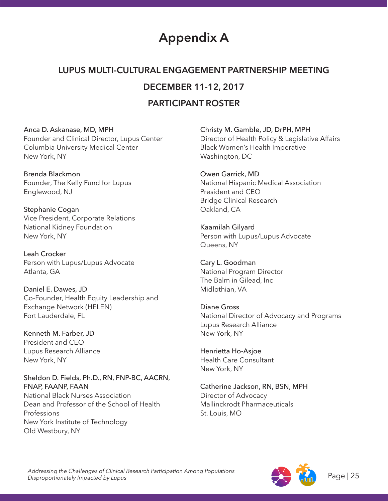# **Appendix A**

# **LUPUS MULTI-CULTURAL ENGAGEMENT PARTNERSHIP MEETING DECEMBER 11-12, 2017**

### **PARTICIPANT ROSTER**

#### Anca D. Askanase, MD, MPH

Founder and Clinical Director, Lupus Center Columbia University Medical Center New York, NY

Brenda Blackmon Founder, The Kelly Fund for Lupus Englewood, NJ

Stephanie Cogan Vice President, Corporate Relations National Kidney Foundation New York, NY

Leah Crocker Person with Lupus/Lupus Advocate Atlanta, GA

Daniel E. Dawes, JD Co-Founder, Health Equity Leadership and Exchange Network (HELEN) Fort Lauderdale, FL

Kenneth M. Farber, JD President and CEO Lupus Research Alliance New York, NY

Sheldon D. Fields, Ph.D., RN, FNP-BC, AACRN, FNAP, FAANP, FAAN National Black Nurses Association Dean and Professor of the School of Health Professions New York Institute of Technology Old Westbury, NY

Christy M. Gamble, JD, DrPH, MPH Director of Health Policy & Legislative Affairs Black Women's Health Imperative Washington, DC

Owen Garrick, MD National Hispanic Medical Association President and CEO Bridge Clinical Research Oakland, CA

Kaamilah Gilyard Person with Lupus/Lupus Advocate Queens, NY

Cary L. Goodman National Program Director The Balm in Gilead, Inc Midlothian, VA

Diane Gross National Director of Advocacy and Programs Lupus Research Alliance New York, NY

Henrietta Ho-Asjoe Health Care Consultant New York, NY

Catherine Jackson, RN, BSN, MPH Director of Advocacy Mallinckrodt Pharmaceuticals St. Louis, MO

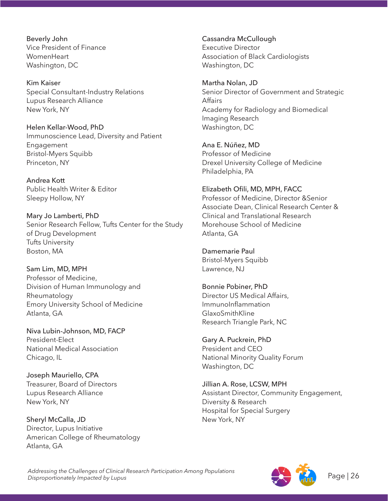Beverly John Vice President of Finance **WomenHeart** Washington, DC

Kim Kaiser Special Consultant-Industry Relations Lupus Research Alliance New York, NY

Helen Kellar-Wood, PhD Immunoscience Lead, Diversity and Patient Engagement Bristol-Myers Squibb Princeton, NY

Andrea Kott Public Health Writer & Editor Sleepy Hollow, NY

Mary Jo Lamberti, PhD Senior Research Fellow, Tufts Center for the Study of Drug Development Tufts University Boston, MA

Sam Lim, MD, MPH Professor of Medicine, Division of Human Immunology and Rheumatology Emory University School of Medicine Atlanta, GA

Niva Lubin-Johnson, MD, FACP President-Elect National Medical Association Chicago, IL

Joseph Mauriello, CPA Treasurer, Board of Directors Lupus Research Alliance New York, NY

Sheryl McCalla, JD Director, Lupus Initiative American College of Rheumatology Atlanta, GA

Cassandra McCullough Executive Director Association of Black Cardiologists Washington, DC

Martha Nolan, JD Senior Director of Government and Strategic Affairs Academy for Radiology and Biomedical Imaging Research Washington, DC

Ana E. Núñez, MD Professor of Medicine Drexel University College of Medicine Philadelphia, PA

Elizabeth Ofili, MD, MPH, FACC Professor of Medicine, Director &Senior Associate Dean, Clinical Research Center & Clinical and Translational Research Morehouse School of Medicine Atlanta, GA

Damemarie Paul Bristol-Myers Squibb Lawrence, NJ

Bonnie Pobiner, PhD Director US Medical Affairs, ImmunoInflammation GlaxoSmithKline Research Triangle Park, NC

Gary A. Puckrein, PhD President and CEO National Minority Quality Forum Washington, DC

Jillian A. Rose, LCSW, MPH Assistant Director, Community Engagement, Diversity & Research Hospital for Special Surgery New York, NY

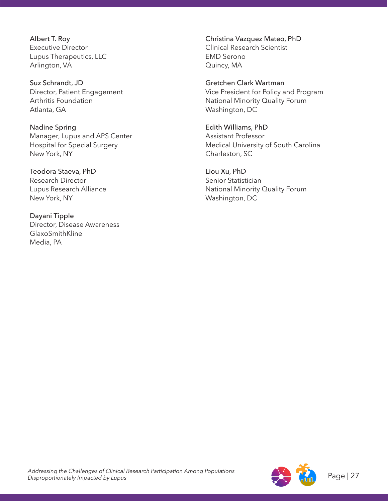Albert T. Roy Executive Director Lupus Therapeutics, LLC Arlington, VA

Suz Schrandt, JD Director, Patient Engagement Arthritis Foundation Atlanta, GA

Nadine Spring Manager, Lupus and APS Center Hospital for Special Surgery New York, NY

Teodora Staeva, PhD Research Director Lupus Research Alliance New York, NY

Dayani Tipple Director, Disease Awareness GlaxoSmithKline Media, PA

Christina Vazquez Mateo, PhD Clinical Research Scientist EMD Serono Quincy, MA

Gretchen Clark Wartman Vice President for Policy and Program National Minority Quality Forum Washington, DC

Edith Williams, PhD Assistant Professor Medical University of South Carolina Charleston, SC

Liou Xu, PhD Senior Statistician National Minority Quality Forum Washington, DC

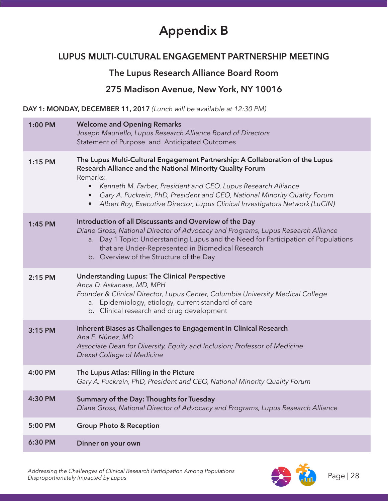# **Appendix B**

### **LUPUS MULTI-CULTURAL ENGAGEMENT PARTNERSHIP MEETING**

### **The Lupus Research Alliance Board Room**

### **275 Madison Avenue, New York, NY 10016**

**DAY 1: MONDAY, DECEMBER 11, 2017** *(Lunch will be available at 12:30 PM)*

| 1:00 PM   | <b>Welcome and Opening Remarks</b><br>Joseph Mauriello, Lupus Research Alliance Board of Directors<br>Statement of Purpose and Anticipated Outcomes                                                                                                                                                                                                                                                                         |
|-----------|-----------------------------------------------------------------------------------------------------------------------------------------------------------------------------------------------------------------------------------------------------------------------------------------------------------------------------------------------------------------------------------------------------------------------------|
| $1:15$ PM | The Lupus Multi-Cultural Engagement Partnership: A Collaboration of the Lupus<br>Research Alliance and the National Minority Quality Forum<br>Remarks:<br>Kenneth M. Farber, President and CEO, Lupus Research Alliance<br>$\bullet$<br>Gary A. Puckrein, PhD, President and CEO, National Minority Quality Forum<br>$\bullet$<br>Albert Roy, Executive Director, Lupus Clinical Investigators Network (LuCIN)<br>$\bullet$ |
| 1:45 PM   | Introduction of all Discussants and Overview of the Day<br>Diane Gross, National Director of Advocacy and Programs, Lupus Research Alliance<br>a. Day 1 Topic: Understanding Lupus and the Need for Participation of Populations<br>that are Under-Represented in Biomedical Research<br>b. Overview of the Structure of the Day                                                                                            |
| 2:15 PM   | <b>Understanding Lupus: The Clinical Perspective</b><br>Anca D. Askanase, MD, MPH<br>Founder & Clinical Director, Lupus Center, Columbia University Medical College<br>a. Epidemiology, etiology, current standard of care<br>b. Clinical research and drug development                                                                                                                                                     |
| 3:15 PM   | Inherent Biases as Challenges to Engagement in Clinical Research<br>Ana E. Núñez, MD<br>Associate Dean for Diversity, Equity and Inclusion; Professor of Medicine<br>Drexel College of Medicine                                                                                                                                                                                                                             |
| 4:00 PM   | The Lupus Atlas: Filling in the Picture<br>Gary A. Puckrein, PhD, President and CEO, National Minority Quality Forum                                                                                                                                                                                                                                                                                                        |
| 4:30 PM   | Summary of the Day: Thoughts for Tuesday<br>Diane Gross, National Director of Advocacy and Programs, Lupus Research Alliance                                                                                                                                                                                                                                                                                                |
| 5:00 PM   | <b>Group Photo &amp; Reception</b>                                                                                                                                                                                                                                                                                                                                                                                          |
| 6:30 PM   | Dinner on your own                                                                                                                                                                                                                                                                                                                                                                                                          |

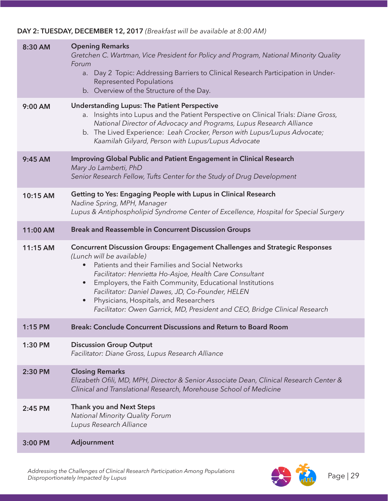### **DAY 2: TUESDAY, DECEMBER 12, 2017** *(Breakfast will be available at 8:00 AM)*

| 8:30 AM  | <b>Opening Remarks</b><br>Gretchen C. Wartman, Vice President for Policy and Program, National Minority Quality<br>Forum<br>a. Day 2 Topic: Addressing Barriers to Clinical Research Participation in Under-<br><b>Represented Populations</b><br>b. Overview of the Structure of the Day.                                                                                                                                                                                                      |
|----------|-------------------------------------------------------------------------------------------------------------------------------------------------------------------------------------------------------------------------------------------------------------------------------------------------------------------------------------------------------------------------------------------------------------------------------------------------------------------------------------------------|
| 9:00 AM  | <b>Understanding Lupus: The Patient Perspective</b><br>Insights into Lupus and the Patient Perspective on Clinical Trials: Diane Gross,<br>a.<br>National Director of Advocacy and Programs, Lupus Research Alliance<br>b. The Lived Experience: Leah Crocker, Person with Lupus/Lupus Advocate;<br>Kaamilah Gilyard, Person with Lupus/Lupus Advocate                                                                                                                                          |
| 9:45 AM  | <b>Improving Global Public and Patient Engagement in Clinical Research</b><br>Mary Jo Lamberti, PhD<br>Senior Research Fellow, Tufts Center for the Study of Drug Development                                                                                                                                                                                                                                                                                                                   |
| 10:15 AM | Getting to Yes: Engaging People with Lupus in Clinical Research<br>Nadine Spring, MPH, Manager<br>Lupus & Antiphospholipid Syndrome Center of Excellence, Hospital for Special Surgery                                                                                                                                                                                                                                                                                                          |
| 11:00 AM | <b>Break and Reassemble in Concurrent Discussion Groups</b>                                                                                                                                                                                                                                                                                                                                                                                                                                     |
| 11:15 AM | <b>Concurrent Discussion Groups: Engagement Challenges and Strategic Responses</b><br>(Lunch will be available)<br>Patients and their Families and Social Networks<br>$\bullet$<br>Facilitator: Henrietta Ho-Asjoe, Health Care Consultant<br>Employers, the Faith Community, Educational Institutions<br>$\bullet$<br>Facilitator: Daniel Dawes, JD, Co-Founder, HELEN<br>Physicians, Hospitals, and Researchers<br>Facilitator: Owen Garrick, MD, President and CEO, Bridge Clinical Research |
| 1:15 PM  | Break: Conclude Concurrent Discussions and Return to Board Room                                                                                                                                                                                                                                                                                                                                                                                                                                 |
| 1:30 PM  | <b>Discussion Group Output</b><br>Facilitator: Diane Gross, Lupus Research Alliance                                                                                                                                                                                                                                                                                                                                                                                                             |
| 2:30 PM  | <b>Closing Remarks</b><br>Elizabeth Ofili, MD, MPH, Director & Senior Associate Dean, Clinical Research Center &<br>Clinical and Translational Research, Morehouse School of Medicine                                                                                                                                                                                                                                                                                                           |
| 2:45 PM  | <b>Thank you and Next Steps</b><br>National Minority Quality Forum<br>Lupus Research Alliance                                                                                                                                                                                                                                                                                                                                                                                                   |
| 3:00 PM  | Adjournment                                                                                                                                                                                                                                                                                                                                                                                                                                                                                     |

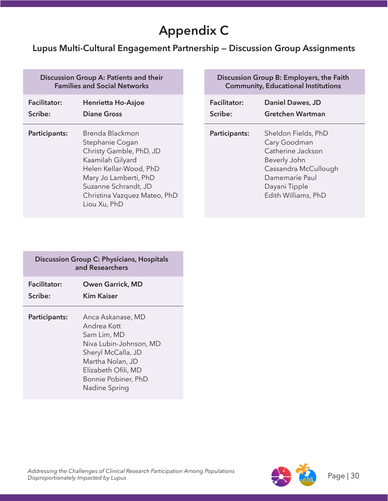# **Appendix C**

### **Lupus Multi-Cultural Engagement Partnership — Discussion Group Assignments**

#### **Discussion Group A: Patients and their Families and Social Networks**

| <b>Facilitator:</b> | <b>Henrietta Ho-Asjoe</b>                                                                                                                                                                                    | <b>Facilitator:</b> |
|---------------------|--------------------------------------------------------------------------------------------------------------------------------------------------------------------------------------------------------------|---------------------|
| Scribe:             | <b>Diane Gross</b>                                                                                                                                                                                           | Scribe:             |
| Participants:       | Brenda Blackmon<br>Stephanie Cogan<br>Christy Gamble, PhD, JD<br>Kaamilah Gilyard<br>Helen Kellar-Wood, PhD<br>Mary Jo Lamberti, PhD<br>Suzanne Schrandt, JD<br>Christina Vazquez Mateo, PhD<br>Liou Xu, PhD | Participants:       |

| Discussion Group B: Employers, the Faith<br><b>Community, Educational Institutions</b> |                                                                                                                                                            |  |
|----------------------------------------------------------------------------------------|------------------------------------------------------------------------------------------------------------------------------------------------------------|--|
| <b>Facilitator:</b><br>Scribe:                                                         | Daniel Dawes, JD<br><b>Gretchen Wartman</b>                                                                                                                |  |
| Participants:                                                                          | Sheldon Fields, PhD<br>Cary Goodman<br>Catherine Jackson<br>Beverly John<br>Cassandra McCullough<br>Damemarie Paul<br>Dayani Tipple<br>Edith Williams, PhD |  |

| <b>Discussion Group C: Physicians, Hospitals</b><br>and Researchers |                                                                                                                                                                                    |  |
|---------------------------------------------------------------------|------------------------------------------------------------------------------------------------------------------------------------------------------------------------------------|--|
| <b>Facilitator:</b><br>Scribe:                                      | <b>Owen Garrick, MD</b><br>Kim Kaiser                                                                                                                                              |  |
| Participants:                                                       | Anca Askanase, MD<br>Andrea Kott<br>Sam Lim, MD<br>Niva Lubin-Johnson, MD<br>Sheryl McCalla, JD<br>Martha Nolan, JD<br>Elizabeth Ofili, MD<br>Bonnie Pobiner, PhD<br>Nadine Spring |  |

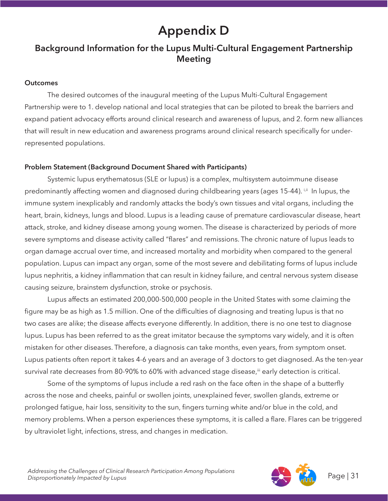# **Appendix D**

### **Background Information for the Lupus Multi-Cultural Engagement Partnership Meeting**

#### **Outcomes**

The desired outcomes of the inaugural meeting of the Lupus Multi-Cultural Engagement Partnership were to 1. develop national and local strategies that can be piloted to break the barriers and expand patient advocacy efforts around clinical research and awareness of lupus, and 2. form new alliances that will result in new education and awareness programs around clinical research specifically for underrepresented populations.

### **Problem Statement (Background Document Shared with Participants)**

Systemic lupus erythematosus (SLE or lupus) is a complex, multisystem autoimmune disease predominantly affecting women and diagnosed during childbearing years (ages 15-44). ijil In lupus, the immune system inexplicably and randomly attacks the body's own tissues and vital organs, including the heart, brain, kidneys, lungs and blood. Lupus is a leading cause of premature cardiovascular disease, heart attack, stroke, and kidney disease among young women. The disease is characterized by periods of more severe symptoms and disease activity called "flares" and remissions. The chronic nature of lupus leads to organ damage accrual over time, and increased mortality and morbidity when compared to the general population. Lupus can impact any organ, some of the most severe and debilitating forms of lupus include lupus nephritis, a kidney inflammation that can result in kidney failure, and central nervous system disease causing seizure, brainstem dysfunction, stroke or psychosis.

Lupus affects an estimated 200,000-500,000 people in the United States with some claiming the figure may be as high as 1.5 million. One of the difficulties of diagnosing and treating lupus is that no two cases are alike; the disease affects everyone differently. In addition, there is no one test to diagnose lupus. Lupus has been referred to as the great imitator because the symptoms vary widely, and it is often mistaken for other diseases. Therefore, a diagnosis can take months, even years, from symptom onset. Lupus patients often report it takes 4-6 years and an average of 3 doctors to get diagnosed. As the ten-year survival rate decreases from 80-90% to 60% with advanced stage disease,<sup>iii</sup> early detection is critical.

Some of the symptoms of lupus include a red rash on the face often in the shape of a butterfly across the nose and cheeks, painful or swollen joints, unexplained fever, swollen glands, extreme or prolonged fatigue, hair loss, sensitivity to the sun, fingers turning white and/or blue in the cold, and memory problems. When a person experiences these symptoms, it is called a flare. Flares can be triggered by ultraviolet light, infections, stress, and changes in medication.

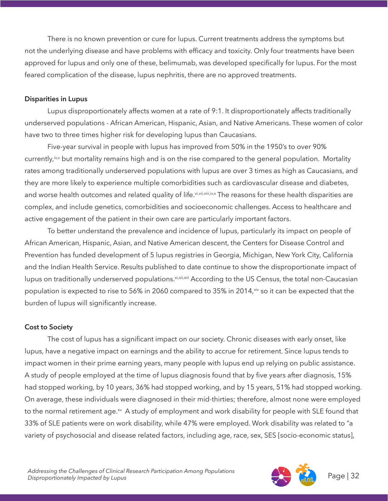There is no known prevention or cure for lupus. Current treatments address the symptoms but not the underlying disease and have problems with efficacy and toxicity. Only four treatments have been approved for lupus and only one of these, belimumab, was developed specifically for lupus. For the most feared complication of the disease, lupus nephritis, there are no approved treatments.

#### **Disparities in Lupus**

Lupus disproportionately affects women at a rate of 9:1. It disproportionately affects traditionally underserved populations - African American, Hispanic, Asian, and Native Americans. These women of color have two to three times higher risk for developing lupus than Caucasians.

Five-year survival in people with lupus has improved from 50% in the 1950's to over 90% currently,<sup>iv,v</sup> but mortality remains high and is on the rise compared to the general population. Mortality rates among traditionally underserved populations with lupus are over 3 times as high as Caucasians, and they are more likely to experience multiple comorbidities such as cardiovascular disease and diabetes, and worse health outcomes and related quality of life. vi, vii, viii, iv,x The reasons for these health disparities are complex, and include genetics, comorbidities and socioeconomic challenges. Access to healthcare and active engagement of the patient in their own care are particularly important factors.

To better understand the prevalence and incidence of lupus, particularly its impact on people of African American, Hispanic, Asian, and Native American descent, the Centers for Disease Control and Prevention has funded development of 5 lupus registries in Georgia, Michigan, New York City, California and the Indian Health Service. Results published to date continue to show the disproportionate impact of lupus on traditionally underserved populations. Xi, xii, xiii According to the US Census, the total non-Caucasian population is expected to rise to 56% in 2060 compared to 35% in 2014, xiv so it can be expected that the burden of lupus will significantly increase.

### **Cost to Society**

The cost of lupus has a significant impact on our society. Chronic diseases with early onset, like lupus, have a negative impact on earnings and the ability to accrue for retirement. Since lupus tends to impact women in their prime earning years, many people with lupus end up relying on public assistance. A study of people employed at the time of lupus diagnosis found that by five years after diagnosis, 15% had stopped working, by 10 years, 36% had stopped working, and by 15 years, 51% had stopped working. On average, these individuals were diagnosed in their mid-thirties; therefore, almost none were employed to the normal retirement age.<sup>xv</sup> A study of employment and work disability for people with SLE found that 33% of SLE patients were on work disability, while 47% were employed. Work disability was related to "a variety of psychosocial and disease related factors, including age, race, sex, SES [socio-economic status],

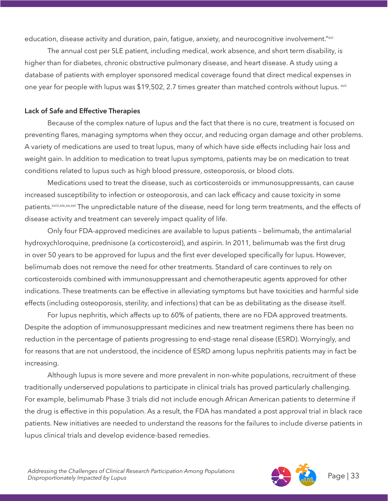education, disease activity and duration, pain, fatique, anxiety, and neurocognitive involvement."xvi

The annual cost per SLE patient, including medical, work absence, and short term disability, is higher than for diabetes, chronic obstructive pulmonary disease, and heart disease. A study using a database of patients with employer sponsored medical coverage found that direct medical expenses in one year for people with lupus was \$19,502, 2.7 times greater than matched controls without lupus. <sup>xvii</sup>

### **Lack of Safe and Effective Therapies**

Because of the complex nature of lupus and the fact that there is no cure, treatment is focused on preventing flares, managing symptoms when they occur, and reducing organ damage and other problems. A variety of medications are used to treat lupus, many of which have side effects including hair loss and weight gain. In addition to medication to treat lupus symptoms, patients may be on medication to treat conditions related to lupus such as high blood pressure, osteoporosis, or blood clots.

Medications used to treat the disease, such as corticosteroids or immunosuppressants, can cause increased susceptibility to infection or osteoporosis, and can lack efficacy and cause toxicity in some patients.<sup>xviii,xix,xx,xxi</sup> The unpredictable nature of the disease, need for long term treatments, and the effects of disease activity and treatment can severely impact quality of life.

Only four FDA-approved medicines are available to lupus patients – belimumab, the antimalarial hydroxychloroquine, prednisone (a corticosteroid), and aspirin. In 2011, belimumab was the first drug in over 50 years to be approved for lupus and the first ever developed specifically for lupus. However, belimumab does not remove the need for other treatments. Standard of care continues to rely on corticosteroids combined with immunosuppressant and chemotherapeutic agents approved for other indications. These treatments can be effective in alleviating symptoms but have toxicities and harmful side effects (including osteoporosis, sterility, and infections) that can be as debilitating as the disease itself.

For lupus nephritis, which affects up to 60% of patients, there are no FDA approved treatments. Despite the adoption of immunosuppressant medicines and new treatment regimens there has been no reduction in the percentage of patients progressing to end-stage renal disease (ESRD). Worryingly, and for reasons that are not understood, the incidence of ESRD among lupus nephritis patients may in fact be increasing.

Although lupus is more severe and more prevalent in non-white populations, recruitment of these traditionally underserved populations to participate in clinical trials has proved particularly challenging. For example, belimumab Phase 3 trials did not include enough African American patients to determine if the drug is effective in this population. As a result, the FDA has mandated a post approval trial in black race patients. New initiatives are needed to understand the reasons for the failures to include diverse patients in lupus clinical trials and develop evidence-based remedies.

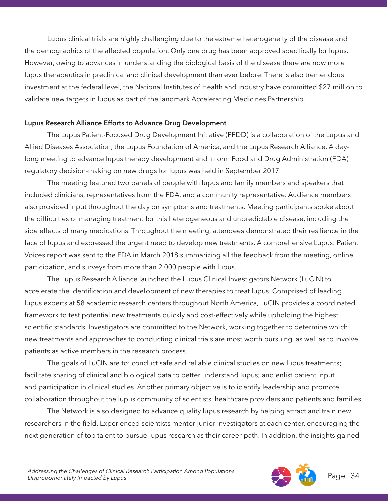Lupus clinical trials are highly challenging due to the extreme heterogeneity of the disease and the demographics of the affected population. Only one drug has been approved specifically for lupus. However, owing to advances in understanding the biological basis of the disease there are now more lupus therapeutics in preclinical and clinical development than ever before. There is also tremendous investment at the federal level, the National Institutes of Health and industry have committed \$27 million to validate new targets in lupus as part of the landmark Accelerating Medicines Partnership.

#### **Lupus Research Alliance Efforts to Advance Drug Development**

The Lupus Patient-Focused Drug Development Initiative (PFDD) is a collaboration of the Lupus and Allied Diseases Association, the Lupus Foundation of America, and the Lupus Research Alliance. A daylong meeting to advance lupus therapy development and inform Food and Drug Administration (FDA) regulatory decision-making on new drugs for lupus was held in September 2017.

The meeting featured two panels of people with lupus and family members and speakers that included clinicians, representatives from the FDA, and a community representative. Audience members also provided input throughout the day on symptoms and treatments. Meeting participants spoke about the difficulties of managing treatment for this heterogeneous and unpredictable disease, including the side effects of many medications. Throughout the meeting, attendees demonstrated their resilience in the face of lupus and expressed the urgent need to develop new treatments. A comprehensive Lupus: Patient Voices report was sent to the FDA in March 2018 summarizing all the feedback from the meeting, online participation, and surveys from more than 2,000 people with lupus.

The Lupus Research Alliance launched the Lupus Clinical Investigators Network (LuCIN) to accelerate the identification and development of new therapies to treat lupus. Comprised of leading lupus experts at 58 academic research centers throughout North America, LuCIN provides a coordinated framework to test potential new treatments quickly and cost-effectively while upholding the highest scientific standards. Investigators are committed to the Network, working together to determine which new treatments and approaches to conducting clinical trials are most worth pursuing, as well as to involve patients as active members in the research process.

The goals of LuCIN are to: conduct safe and reliable clinical studies on new lupus treatments; facilitate sharing of clinical and biological data to better understand lupus; and enlist patient input and participation in clinical studies. Another primary objective is to identify leadership and promote collaboration throughout the lupus community of scientists, healthcare providers and patients and families.

The Network is also designed to advance quality lupus research by helping attract and train new researchers in the field. Experienced scientists mentor junior investigators at each center, encouraging the next generation of top talent to pursue lupus research as their career path. In addition, the insights gained

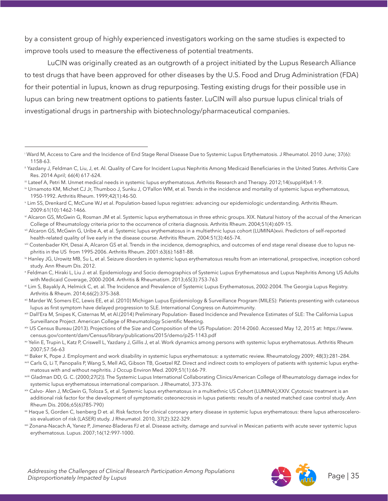by a consistent group of highly experienced investigators working on the same studies is expected to improve tools used to measure the effectiveness of potential treatments.

LuCIN was originally created as an outgrowth of a project initiated by the Lupus Research Alliance to test drugs that have been approved for other diseases by the U.S. Food and Drug Administration (FDA) for their potential in lupus, known as drug repurposing. Testing existing drugs for their possible use in lupus can bring new treatment options to patients faster. LuCIN will also pursue lupus clinical trials of investigational drugs in partnership with biotechnology/pharmaceutical companies.

iii Lateef A, Petri M. Unmet medical needs in systemic lupus erythematosus. Arthritis Research and Therapy. 2012;14(suppl4)s4:1-9.



i Ward M, Access to Care and the Incidence of End Stage Renal Disease Due to Systemic Lupus Ertythematosis. J Rheumatol. 2010 June; 37(6): 1158-63.

ii Yazdany J, Feldman C, Liu, J, et. Al. Quality of Care for Incident Lupus Nephritis Among Medicaid Beneficiaries in the United States. Arthritis Care Res. 2014 April; 66(4) 617-624.

iv Urnamoto KM, Michet CJ Jr, Thumboo J, Sunku J, O'Fallon WM, et al. Trends in the incidence and mortality of systemic lupus erythematosus, 1950-1992. Arthritis Rheum. 1999;42(1):46-50.

v Lim SS, Drenkard C, McCune WJ et al. Population-based lupus registries: advancing our epidemiologic understanding. Arthritis Rheum. 2009:61(10):1462-1466.

vi Alcaron GS, McGwin G, Rosman JM et al. Systemic lupus erythematosus in three ethnic groups. XIX. Natural history of the accrual of the American College of Rheumatology criteria prior to the occurrence of criteria diagnosis. Arthritis Rheum. 2004;51(4):609-15.

vii Alcaron GS, McGwin G, Uribe A, et al. Systemic lupus erythematosus in a multiethnic lupus cohort (LUMINA)xvii. Predictors of self-reported health-related quality of live early in the disease course. Arthritis Rheum. 2004:51(3):465-74.

viii Costenbader KH, Desai A, Alcaron GS et al. Trends in the incidence, demographics, and outcomes of end stage renal disease due to lupus nephritis in the US from 1995-2006. Arthritis Rheum. 2001:63(6):1681-88.

<sup>&</sup>lt;sup>ix</sup> Hanley JG, Urowitz MB, Su L, et al. Seizure disorders in systemic lupus erythematosus results from an international, prospective, inception cohord study. Ann Rheum Dis. 2012.

x Feldman C, Hiraki L, Liu J. et al. Epidemiology and Socio demographics of Systemic Lupus Erythematosus and Lupus Nephritis Among US Adults with Medicaid Coverage, 2000-2004. Arthritis & Rheumatism. 2013;65(3):753-763

xi Lim S, Bayakly A, Helmick C, et. al. The Incidence and Prevalence of Systemic Lupus Erythematosus, 2002-2004. The Georgia Lupus Registry. Arthritis & Rheum. 2014;66(2):375-368.

xii Marder W, Somers EC, Lewis EE, et al. (2010) Michigan Lupus Epidemiology & Surveillance Program (MILES): Patients presenting with cutaneous lupus as first symptom have delayed progression to SLE. International Congress on Autoimmunity.

xiii Dall'Era M, Snipes K, Cisternas M, et Al.(2014) Preliminary Population- Based Incidence and Prevalence Estimates of SLE: The California Lupus Surveillance Project. American College of Rheumatology Scientific Meeting.

xiv US Census Bureau (2013). Projections of the Size and Composition of the US Population: 2014-2060. Accessed May 12, 2015 at: https://www. census.gov/content/dam/Census/library/publications/2015/demo/p25-1143.pdf

xv Yelin E, Trupin L, Katz P, Criswell L, Yazdany J, Gillis J, et al. Work dynamics among persons with systemic lupus erythematosus. Arthritis Rheum 2007;57:56–63

xvi Baker K, Pope J. Employment and work disability in systemic lupus erythematosus: a systematic review. Rheumatology 2009; 48(3):281–284.

<sup>&</sup>lt;sup>xvii</sup> Carls G, Li T, Panopalis P, Wang S, Mell AG, Gibson TB, Goetzel RZ. Direct and indirect costs to employers of patients with systemic lupus erythematosus with and without nephritis. J Occup Environ Med. 2009;51(1):66-79.

xviii Gladman DD, G. C. (2000;27(2)). The Systemic Lupus International Collaborating Clinics/American College of Rheumatology damage index for systemic lupus erythematosus international comparison. J Rheumatol, 373-376.

xix Calvo- Alen J, McGwin G, Toloza S, et al. Systemic lupus erythematosus in a multiethnic US Cohort (LUMINA);XXIV. Cytotoxic treatment is an additional risk factor for the development of symptomatic osteonecrosis in lupus patients: results of a nested matched case control study. Ann Rheum Dis. 2006;65(6)785-790)

xx Haque S, Gorden C, Isenberg D et. al. Risk factors for clinical coronary artery disease in systemic lupus erythematosus: there lupus atheroscelerosis evaluation of risk (LASER) study. J Rheumatol. 2010, 37(2):322-329.

xxi Zonana-Nacach A, Yanez P, Jimenez-Bladeras FJ et al. Disease activity, damage and survival in Mexican patients with acute sever systemic lupus erythematosus. Lupus. 2007;16(12:997-1000.